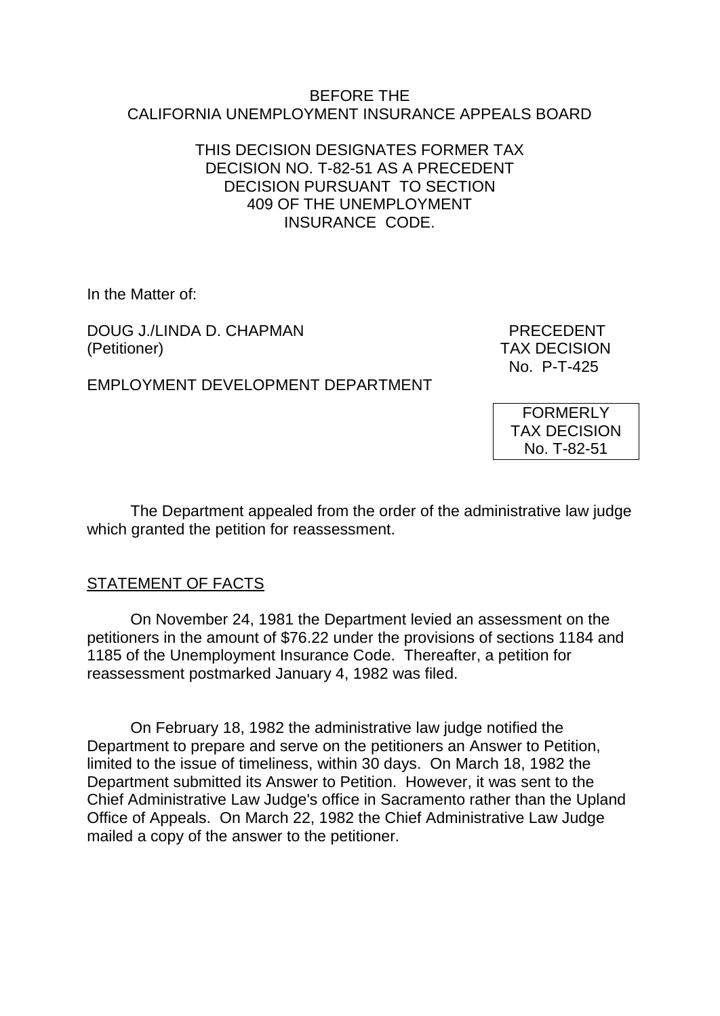#### BEFORE THE CALIFORNIA UNEMPLOYMENT INSURANCE APPEALS BOARD

## THIS DECISION DESIGNATES FORMER TAX DECISION NO. T-82-51 AS A PRECEDENT DECISION PURSUANT TO SECTION 409 OF THE UNEMPLOYMENT INSURANCE CODE.

In the Matter of:

DOUG J./LINDA D. CHAPMAN PRECEDENT (Petitioner) TAX DECISION

No. P-T-425

EMPLOYMENT DEVELOPMENT DEPARTMENT

FORMERLY TAX DECISION No. T-82-51

The Department appealed from the order of the administrative law judge which granted the petition for reassessment.

# STATEMENT OF FACTS

On November 24, 1981 the Department levied an assessment on the petitioners in the amount of \$76.22 under the provisions of sections 1184 and 1185 of the Unemployment Insurance Code. Thereafter, a petition for reassessment postmarked January 4, 1982 was filed.

On February 18, 1982 the administrative law judge notified the Department to prepare and serve on the petitioners an Answer to Petition, limited to the issue of timeliness, within 30 days. On March 18, 1982 the Department submitted its Answer to Petition. However, it was sent to the Chief Administrative Law Judge's office in Sacramento rather than the Upland Office of Appeals. On March 22, 1982 the Chief Administrative Law Judge mailed a copy of the answer to the petitioner.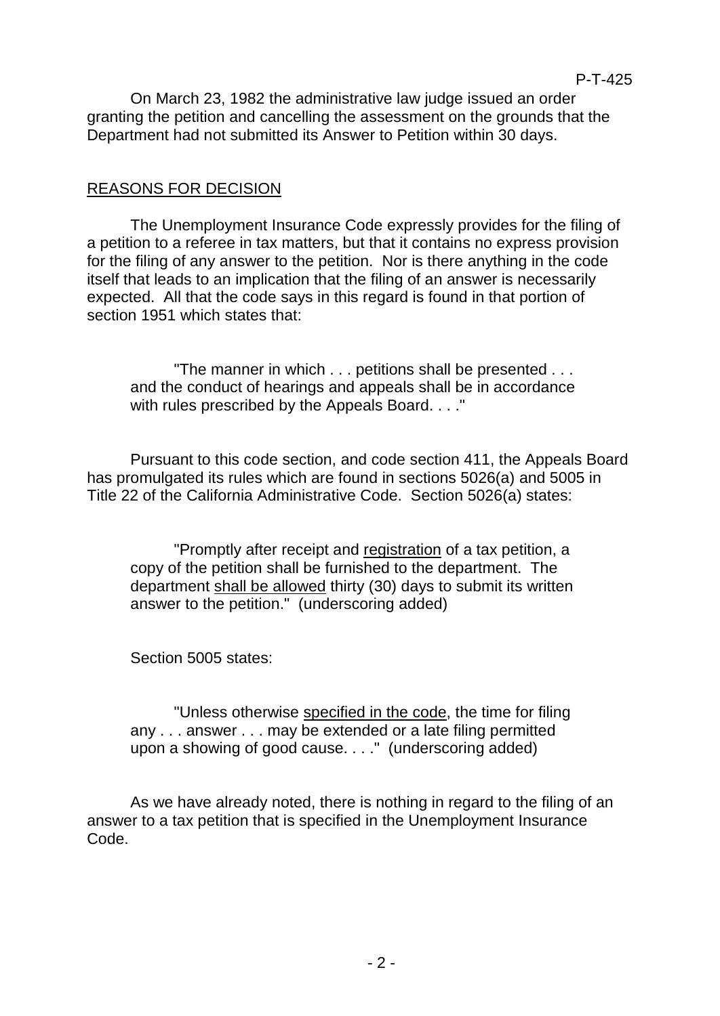On March 23, 1982 the administrative law judge issued an order granting the petition and cancelling the assessment on the grounds that the Department had not submitted its Answer to Petition within 30 days.

## REASONS FOR DECISION

The Unemployment Insurance Code expressly provides for the filing of a petition to a referee in tax matters, but that it contains no express provision for the filing of any answer to the petition. Nor is there anything in the code itself that leads to an implication that the filing of an answer is necessarily expected. All that the code says in this regard is found in that portion of section 1951 which states that

"The manner in which . . . petitions shall be presented . . . and the conduct of hearings and appeals shall be in accordance with rules prescribed by the Appeals Board. . . ."

Pursuant to this code section, and code section 411, the Appeals Board has promulgated its rules which are found in sections 5026(a) and 5005 in Title 22 of the California Administrative Code. Section 5026(a) states:

"Promptly after receipt and registration of a tax petition, a copy of the petition shall be furnished to the department. The department shall be allowed thirty (30) days to submit its written answer to the petition." (underscoring added)

Section 5005 states:

"Unless otherwise specified in the code, the time for filing any . . . answer . . . may be extended or a late filing permitted upon a showing of good cause. . . ." (underscoring added)

As we have already noted, there is nothing in regard to the filing of an answer to a tax petition that is specified in the Unemployment Insurance Code.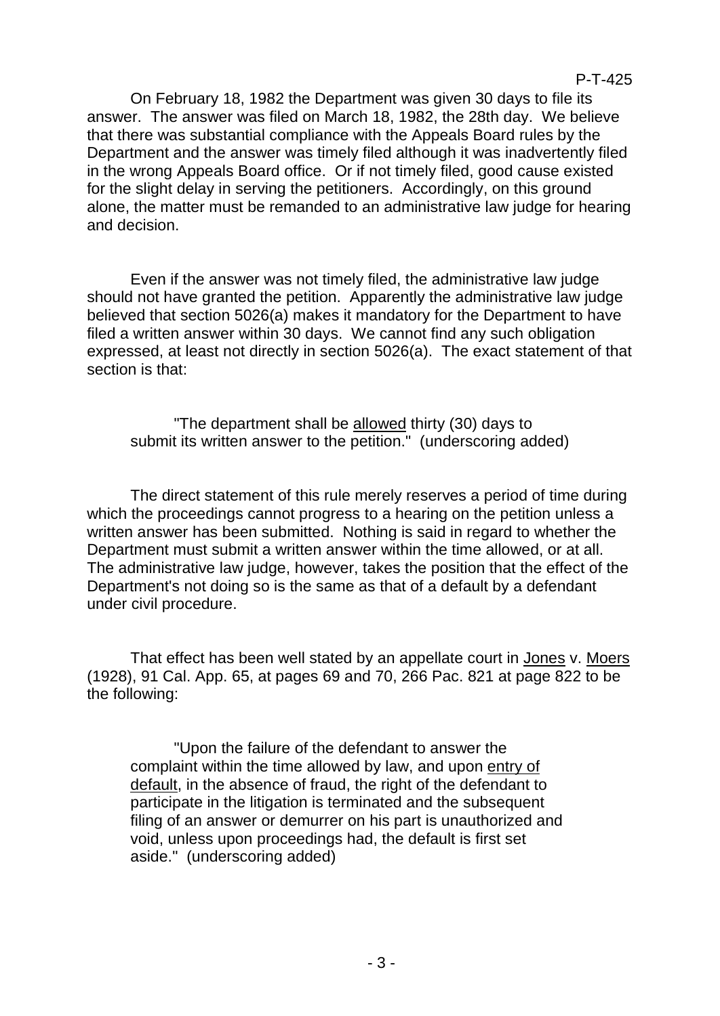On February 18, 1982 the Department was given 30 days to file its answer. The answer was filed on March 18, 1982, the 28th day. We believe that there was substantial compliance with the Appeals Board rules by the Department and the answer was timely filed although it was inadvertently filed in the wrong Appeals Board office. Or if not timely filed, good cause existed for the slight delay in serving the petitioners. Accordingly, on this ground alone, the matter must be remanded to an administrative law judge for hearing and decision.

Even if the answer was not timely filed, the administrative law judge should not have granted the petition. Apparently the administrative law judge believed that section 5026(a) makes it mandatory for the Department to have filed a written answer within 30 days. We cannot find any such obligation expressed, at least not directly in section 5026(a). The exact statement of that section is that:

"The department shall be allowed thirty (30) days to submit its written answer to the petition." (underscoring added)

The direct statement of this rule merely reserves a period of time during which the proceedings cannot progress to a hearing on the petition unless a written answer has been submitted. Nothing is said in regard to whether the Department must submit a written answer within the time allowed, or at all. The administrative law judge, however, takes the position that the effect of the Department's not doing so is the same as that of a default by a defendant under civil procedure.

That effect has been well stated by an appellate court in Jones v. Moers (1928), 91 Cal. App. 65, at pages 69 and 70, 266 Pac. 821 at page 822 to be the following:

"Upon the failure of the defendant to answer the complaint within the time allowed by law, and upon entry of default, in the absence of fraud, the right of the defendant to participate in the litigation is terminated and the subsequent filing of an answer or demurrer on his part is unauthorized and void, unless upon proceedings had, the default is first set aside." (underscoring added)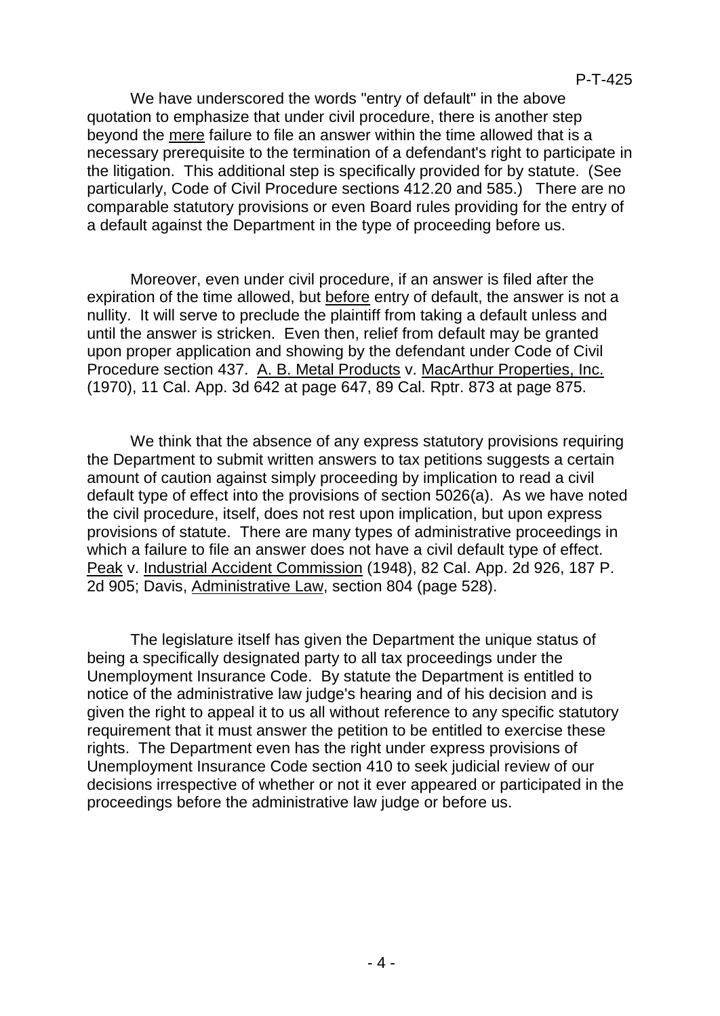We have underscored the words "entry of default" in the above quotation to emphasize that under civil procedure, there is another step beyond the mere failure to file an answer within the time allowed that is a necessary prerequisite to the termination of a defendant's right to participate in the litigation. This additional step is specifically provided for by statute. (See particularly, Code of Civil Procedure sections 412.20 and 585.) There are no comparable statutory provisions or even Board rules providing for the entry of a default against the Department in the type of proceeding before us.

Moreover, even under civil procedure, if an answer is filed after the expiration of the time allowed, but before entry of default, the answer is not a nullity. It will serve to preclude the plaintiff from taking a default unless and until the answer is stricken. Even then, relief from default may be granted upon proper application and showing by the defendant under Code of Civil Procedure section 437. A. B. Metal Products v. MacArthur Properties, Inc. (1970), 11 Cal. App. 3d 642 at page 647, 89 Cal. Rptr. 873 at page 875.

We think that the absence of any express statutory provisions requiring the Department to submit written answers to tax petitions suggests a certain amount of caution against simply proceeding by implication to read a civil default type of effect into the provisions of section 5026(a). As we have noted the civil procedure, itself, does not rest upon implication, but upon express provisions of statute. There are many types of administrative proceedings in which a failure to file an answer does not have a civil default type of effect. Peak v. Industrial Accident Commission (1948), 82 Cal. App. 2d 926, 187 P. 2d 905; Davis, Administrative Law, section 804 (page 528).

The legislature itself has given the Department the unique status of being a specifically designated party to all tax proceedings under the Unemployment Insurance Code. By statute the Department is entitled to notice of the administrative law judge's hearing and of his decision and is given the right to appeal it to us all without reference to any specific statutory requirement that it must answer the petition to be entitled to exercise these rights. The Department even has the right under express provisions of Unemployment Insurance Code section 410 to seek judicial review of our decisions irrespective of whether or not it ever appeared or participated in the proceedings before the administrative law judge or before us.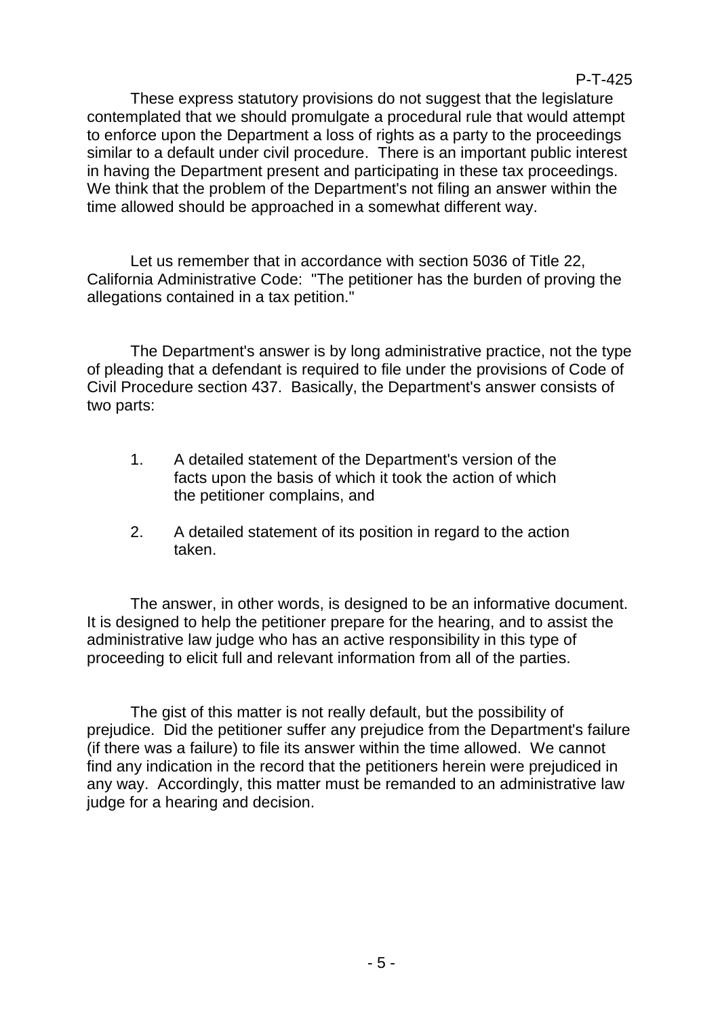These express statutory provisions do not suggest that the legislature contemplated that we should promulgate a procedural rule that would attempt to enforce upon the Department a loss of rights as a party to the proceedings similar to a default under civil procedure. There is an important public interest in having the Department present and participating in these tax proceedings. We think that the problem of the Department's not filing an answer within the time allowed should be approached in a somewhat different way.

Let us remember that in accordance with section 5036 of Title 22, California Administrative Code: "The petitioner has the burden of proving the allegations contained in a tax petition."

The Department's answer is by long administrative practice, not the type of pleading that a defendant is required to file under the provisions of Code of Civil Procedure section 437. Basically, the Department's answer consists of two parts:

- 1. A detailed statement of the Department's version of the facts upon the basis of which it took the action of which the petitioner complains, and
- 2. A detailed statement of its position in regard to the action taken.

The answer, in other words, is designed to be an informative document. It is designed to help the petitioner prepare for the hearing, and to assist the administrative law judge who has an active responsibility in this type of proceeding to elicit full and relevant information from all of the parties.

The gist of this matter is not really default, but the possibility of prejudice. Did the petitioner suffer any prejudice from the Department's failure (if there was a failure) to file its answer within the time allowed. We cannot find any indication in the record that the petitioners herein were prejudiced in any way. Accordingly, this matter must be remanded to an administrative law judge for a hearing and decision.